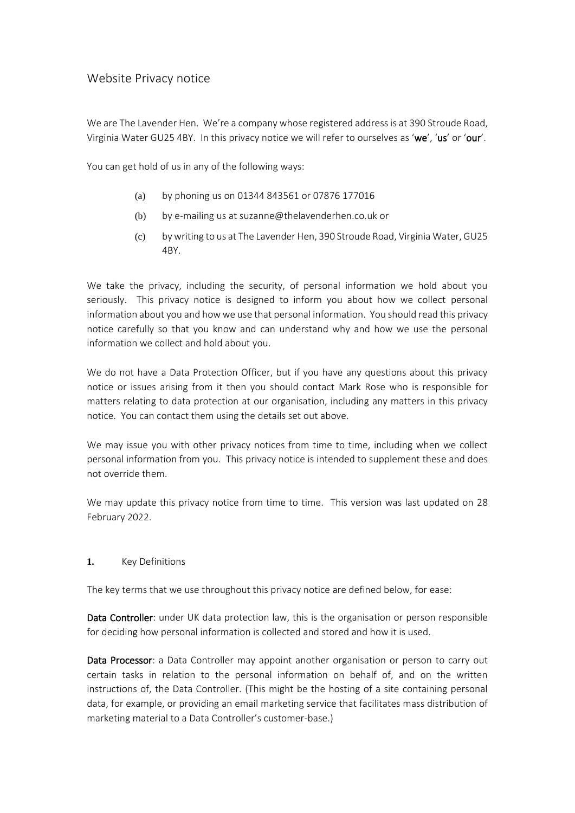# Website Privacy notice

We are The Lavender Hen. We're a company whose registered address is at 390 Stroude Road, Virginia Water GU25 4BY. In this privacy notice we will refer to ourselves as 'we', 'us' or 'our'.

You can get hold of us in any of the following ways:

- (a) by phoning us on 01344 843561 or 07876 177016
- (b) by e-mailing us at suzanne@thelavenderhen.co.uk or
- (c) by writing to us at The Lavender Hen, 390 Stroude Road, Virginia Water, GU25 4BY.

We take the privacy, including the security, of personal information we hold about you seriously. This privacy notice is designed to inform you about how we collect personal information about you and how we use that personal information. You should read this privacy notice carefully so that you know and can understand why and how we use the personal information we collect and hold about you.

We do not have a Data Protection Officer, but if you have any questions about this privacy notice or issues arising from it then you should contact Mark Rose who is responsible for matters relating to data protection at our organisation, including any matters in this privacy notice. You can contact them using the details set out above.

We may issue you with other privacy notices from time to time, including when we collect personal information from you. This privacy notice is intended to supplement these and does not override them.

We may update this privacy notice from time to time. This version was last updated on 28 February 2022.

### <span id="page-0-0"></span>**1.** Key Definitions

The key terms that we use throughout this privacy notice are defined below, for ease:

Data Controller: under UK data protection law, this is the organisation or person responsible for deciding how personal information is collected and stored and how it is used.

Data Processor: a Data Controller may appoint another organisation or person to carry out certain tasks in relation to the personal information on behalf of, and on the written instructions of, the Data Controller. (This might be the hosting of a site containing personal data, for example, or providing an email marketing service that facilitates mass distribution of marketing material to a Data Controller's customer-base.)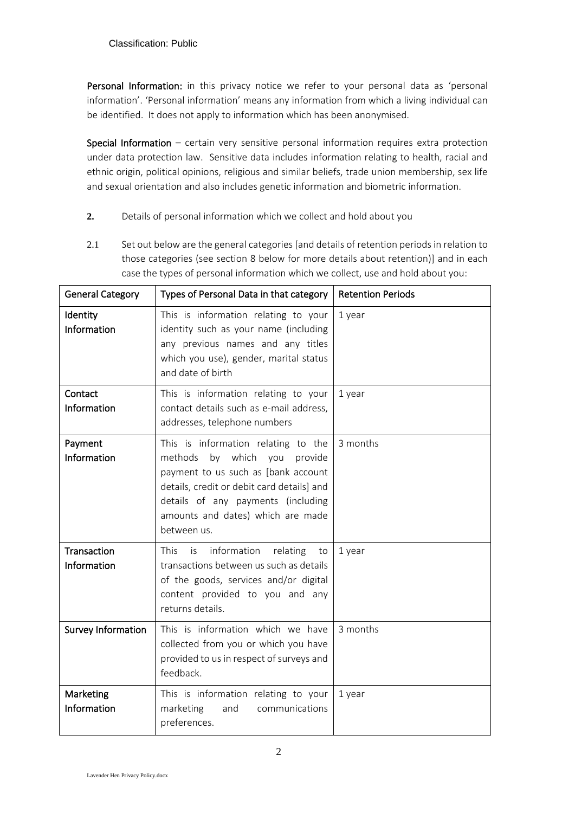Personal Information: in this privacy notice we refer to your personal data as 'personal information'. 'Personal information' means any information from which a living individual can be identified. It does not apply to information which has been anonymised.

**Special Information** – certain very sensitive personal information requires extra protection under data protection law. Sensitive data includes information relating to health, racial and ethnic origin, political opinions, religious and similar beliefs, trade union membership, sex life and sexual orientation and also includes genetic information and biometric information.

- <span id="page-1-0"></span>**2.** Details of personal information which we collect and hold about you
- 2.1 Set out below are the general categories [and details of retention periods in relation to those categories (see section [8](#page-5-0) below for more details about retention)] and in each case the types of personal information which we collect, use and hold about you:

| <b>General Category</b>    | Types of Personal Data in that category                                                                                                                                                                                                                  | <b>Retention Periods</b> |
|----------------------------|----------------------------------------------------------------------------------------------------------------------------------------------------------------------------------------------------------------------------------------------------------|--------------------------|
| Identity<br>Information    | This is information relating to your<br>identity such as your name (including<br>any previous names and any titles<br>which you use), gender, marital status<br>and date of birth                                                                        | 1 year                   |
| Contact<br>Information     | This is information relating to your<br>contact details such as e-mail address,<br>addresses, telephone numbers                                                                                                                                          | 1 year                   |
| Payment<br>Information     | This is information relating to the<br>methods by which<br>you<br>provide<br>payment to us such as [bank account<br>details, credit or debit card details] and<br>details of any payments (including<br>amounts and dates) which are made<br>between us. | 3 months                 |
| Transaction<br>Information | This<br>information<br>is.<br>relating<br>to<br>transactions between us such as details<br>of the goods, services and/or digital<br>content provided to you and any<br>returns details.                                                                  | 1 year                   |
| Survey Information         | This is information which we have<br>collected from you or which you have<br>provided to us in respect of surveys and<br>feedback.                                                                                                                       | 3 months                 |
| Marketing<br>Information   | This is information relating to your<br>marketing<br>and<br>communications<br>preferences.                                                                                                                                                               | 1 year                   |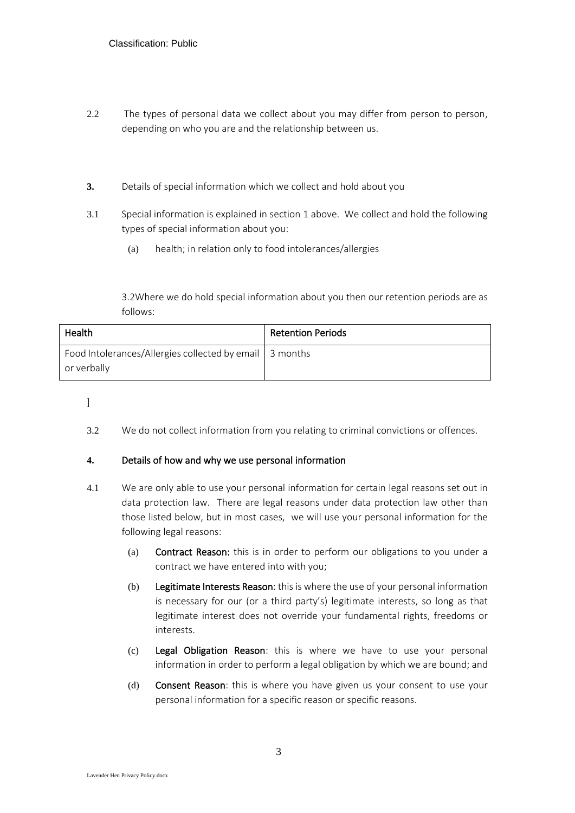- 2.2 The types of personal data we collect about you may differ from person to person, depending on who you are and the relationship between us.
- <span id="page-2-0"></span>**3.** Details of special information which we collect and hold about you
- 3.1 Special information is explained in section [1](#page-0-0) above. We collect and hold the following types of special information about you:
	- (a) health; in relation only to food intolerances/allergies

3.2Where we do hold special information about you then our retention periods are as follows:

| Health                                                                   | <b>Retention Periods</b> |
|--------------------------------------------------------------------------|--------------------------|
| Food Intolerances/Allergies collected by email   3 months<br>or verbally |                          |

]

3.2 We do not collect information from you relating to criminal convictions or offences.

### <span id="page-2-1"></span>**4.** Details of how and why we use personal information

- 4.1 We are only able to use your personal information for certain legal reasons set out in data protection law. There are legal reasons under data protection law other than those listed below, but in most cases, we will use your personal information for the following legal reasons:
	- (a) Contract Reason: this is in order to perform our obligations to you under a contract we have entered into with you;
	- (b) Legitimate Interests Reason: this is where the use of your personal information is necessary for our (or a third party's) legitimate interests, so long as that legitimate interest does not override your fundamental rights, freedoms or interests.
	- (c) Legal Obligation Reason: this is where we have to use your personal information in order to perform a legal obligation by which we are bound; and
	- (d) Consent Reason: this is where you have given us your consent to use your personal information for a specific reason or specific reasons.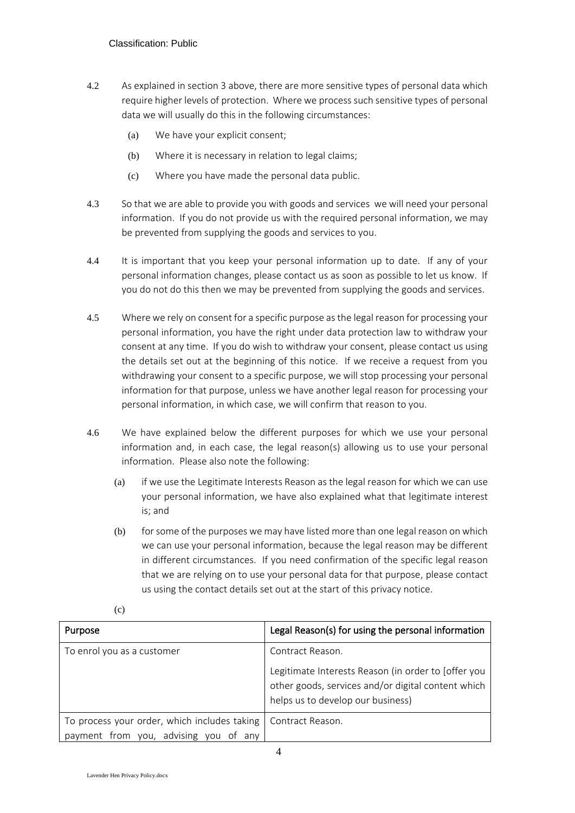- 4.2 As explained in sectio[n 3](#page-2-0) above, there are more sensitive types of personal data which require higher levels of protection. Where we process such sensitive types of personal data we will usually do this in the following circumstances:
	- (a) We have your explicit consent;
	- (b) Where it is necessary in relation to legal claims;
	- (c) Where you have made the personal data public.
- 4.3 So that we are able to provide you with goods and services we will need your personal information. If you do not provide us with the required personal information, we may be prevented from supplying the goods and services to you.
- 4.4 It is important that you keep your personal information up to date. If any of your personal information changes, please contact us as soon as possible to let us know. If you do not do this then we may be prevented from supplying the goods and services.
- <span id="page-3-0"></span>4.5 Where we rely on consent for a specific purpose as the legal reason for processing your personal information, you have the right under data protection law to withdraw your consent at any time. If you do wish to withdraw your consent, please contact us using the details set out at the beginning of this notice. If we receive a request from you withdrawing your consent to a specific purpose, we will stop processing your personal information for that purpose, unless we have another legal reason for processing your personal information, in which case, we will confirm that reason to you.
- 4.6 We have explained below the different purposes for which we use your personal information and, in each case, the legal reason(s) allowing us to use your personal information. Please also note the following:
	- (a) if we use the Legitimate Interests Reason as the legal reason for which we can use your personal information, we have also explained what that legitimate interest is; and
	- (b) for some of the purposes we may have listed more than one legal reason on which we can use your personal information, because the legal reason may be different in different circumstances. If you need confirmation of the specific legal reason that we are relying on to use your personal data for that purpose, please contact us using the contact details set out at the start of this privacy notice.

| Purpose                                                                               | Legal Reason(s) for using the personal information                                                                                                                 |
|---------------------------------------------------------------------------------------|--------------------------------------------------------------------------------------------------------------------------------------------------------------------|
| To enrol you as a customer                                                            | Contract Reason.<br>Legitimate Interests Reason (in order to [offer you<br>other goods, services and/or digital content which<br>helps us to develop our business) |
| To process your order, which includes taking<br>payment from you, advising you of any | Contract Reason.                                                                                                                                                   |

(c)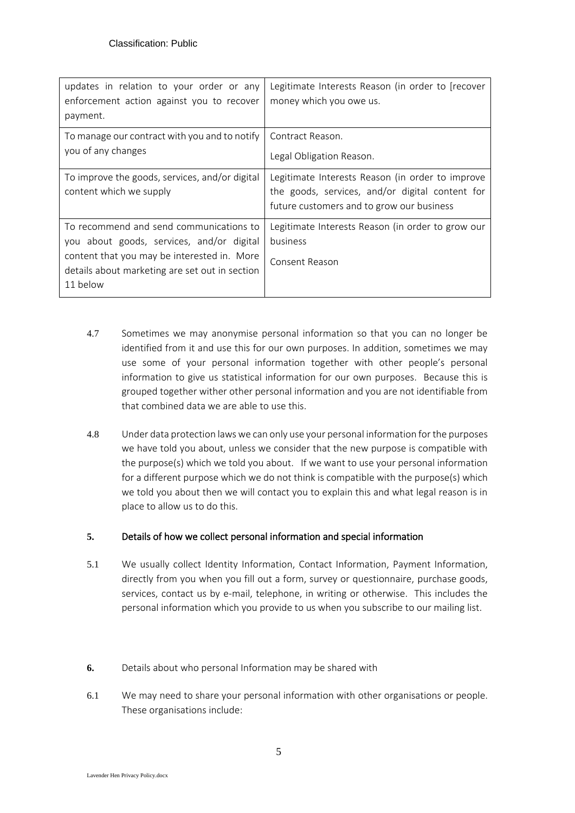| Legitimate Interests Reason (in order to [recover<br>money which you owe us.                 |
|----------------------------------------------------------------------------------------------|
| Contract Reason.                                                                             |
| Legal Obligation Reason.                                                                     |
| Legitimate Interests Reason (in order to improve                                             |
| the goods, services, and/or digital content for<br>future customers and to grow our business |
| Legitimate Interests Reason (in order to grow our                                            |
| business                                                                                     |
| Consent Reason                                                                               |
|                                                                                              |
|                                                                                              |

- 4.7 Sometimes we may anonymise personal information so that you can no longer be identified from it and use this for our own purposes. In addition, sometimes we may use some of your personal information together with other people's personal information to give us statistical information for our own purposes. Because this is grouped together wither other personal information and you are not identifiable from that combined data we are able to use this.
- 4.8 Under data protection laws we can only use your personal information for the purposes we have told you about, unless we consider that the new purpose is compatible with the purpose(s) which we told you about. If we want to use your personal information for a different purpose which we do not think is compatible with the purpose(s) which we told you about then we will contact you to explain this and what legal reason is in place to allow us to do this.

# **5.** Details of how we collect personal information and special information

- 5.1 We usually collect Identity Information, Contact Information, Payment Information, directly from you when you fill out a form, survey or questionnaire, purchase goods, services, contact us by e-mail, telephone, in writing or otherwise. This includes the personal information which you provide to us when you subscribe to our mailing list.
- **6.** Details about who personal Information may be shared with
- 6.1 We may need to share your personal information with other organisations or people. These organisations include: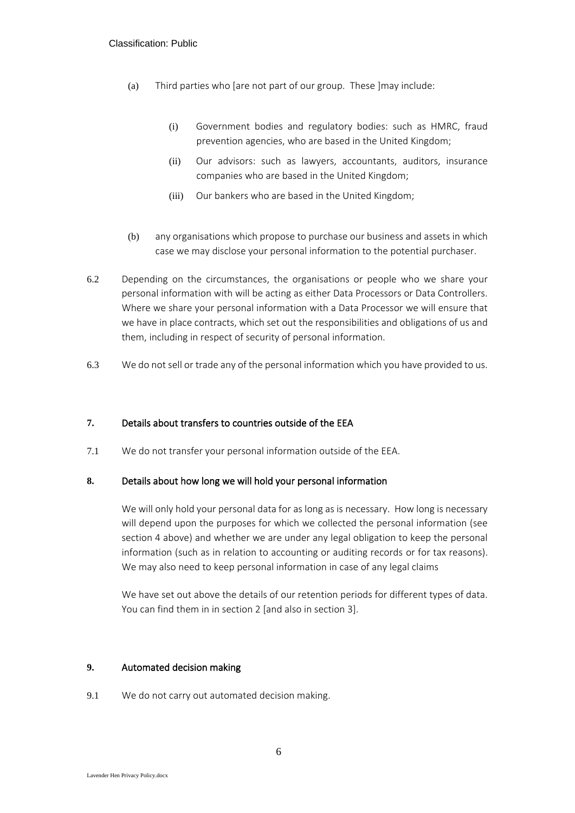- (a) Third parties who [are not part of our group. These ]may include:
	- (i) Government bodies and regulatory bodies: such as HMRC, fraud prevention agencies, who are based in the United Kingdom;
	- (ii) Our advisors: such as lawyers, accountants, auditors, insurance companies who are based in the United Kingdom;
	- (iii) Our bankers who are based in the United Kingdom;
- (b) any organisations which propose to purchase our business and assets in which case we may disclose your personal information to the potential purchaser.
- 6.2 Depending on the circumstances, the organisations or people who we share your personal information with will be acting as either Data Processors or Data Controllers. Where we share your personal information with a Data Processor we will ensure that we have in place contracts, which set out the responsibilities and obligations of us and them, including in respect of security of personal information.
- 6.3 We do not sell or trade any of the personal information which you have provided to us.

# **7.** Details about transfers to countries outside of the EEA

7.1 We do not transfer your personal information outside of the EEA.

## <span id="page-5-0"></span>**8.** Details about how long we will hold your personal information

We will only hold your personal data for as long as is necessary. How long is necessary will depend upon the purposes for which we collected the personal information (see section [4](#page-2-1) above) and whether we are under any legal obligation to keep the personal information (such as in relation to accounting or auditing records or for tax reasons). We may also need to keep personal information in case of any legal claims

We have set out above the details of our retention periods for different types of data. You can find them in in section [2](#page-1-0) [and also in section [3\]](#page-2-0).

### **9.** Automated decision making

9.1 We do not carry out automated decision making.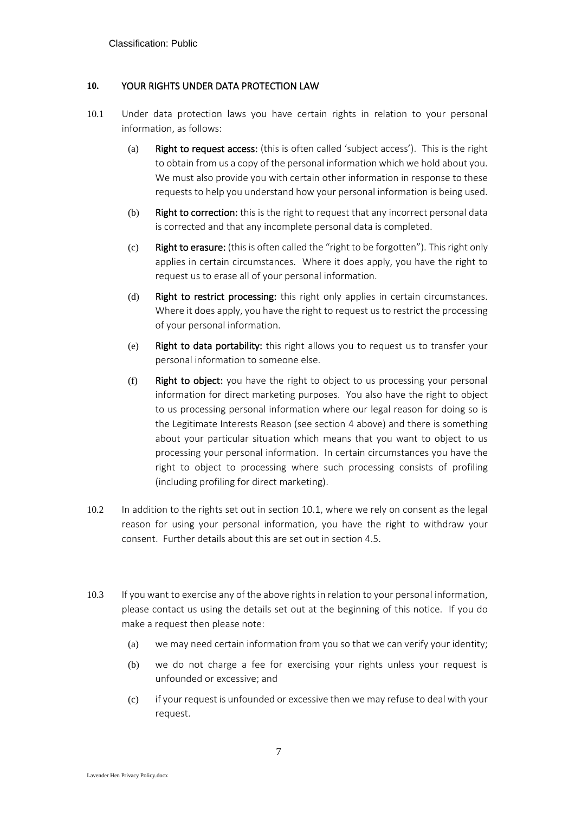## <span id="page-6-0"></span>**10.** YOUR RIGHTS UNDER DATA PROTECTION LAW

- 10.1 Under data protection laws you have certain rights in relation to your personal information, as follows:
	- (a) Right to request access: (this is often called 'subject access'). This is the right to obtain from us a copy of the personal information which we hold about you. We must also provide you with certain other information in response to these requests to help you understand how your personal information is being used.
	- (b) Right to correction: this is the right to request that any incorrect personal data is corrected and that any incomplete personal data is completed.
	- (c) Right to erasure: (this is often called the "right to be forgotten"). This right only applies in certain circumstances. Where it does apply, you have the right to request us to erase all of your personal information.
	- (d) Right to restrict processing: this right only applies in certain circumstances. Where it does apply, you have the right to request us to restrict the processing of your personal information.
	- (e) Right to data portability: this right allows you to request us to transfer your personal information to someone else.
	- (f) Right to object: you have the right to object to us processing your personal information for direct marketing purposes. You also have the right to object to us processing personal information where our legal reason for doing so is the Legitimate Interests Reason (see section [4](#page-2-1) above) and there is something about your particular situation which means that you want to object to us processing your personal information. In certain circumstances you have the right to object to processing where such processing consists of profiling (including profiling for direct marketing).
- 10.2 In addition to the rights set out in section [10.1,](#page-6-0) where we rely on consent as the legal reason for using your personal information, you have the right to withdraw your consent. Further details about this are set out in section [4.5.](#page-3-0)
- 10.3 If you want to exercise any of the above rights in relation to your personal information, please contact us using the details set out at the beginning of this notice. If you do make a request then please note:
	- (a) we may need certain information from you so that we can verify your identity;
	- (b) we do not charge a fee for exercising your rights unless your request is unfounded or excessive; and
	- (c) if your request is unfounded or excessive then we may refuse to deal with your request.